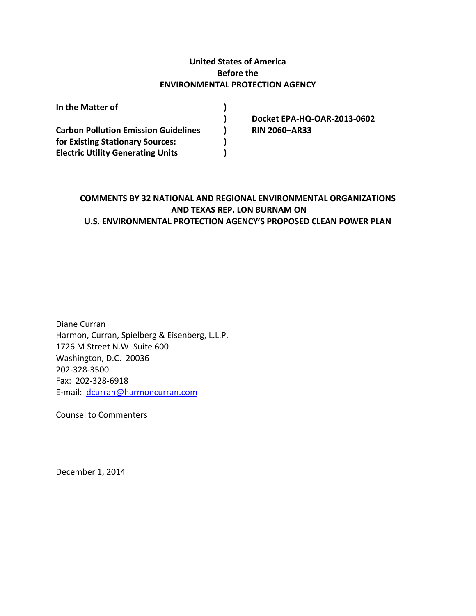#### **United States of America Before the ENVIRONMENTAL PROTECTION AGENCY**

| In the Matter of                            |                             |
|---------------------------------------------|-----------------------------|
|                                             | Docket EPA-HQ-OAR-2013-0602 |
| <b>Carbon Pollution Emission Guidelines</b> | <b>RIN 2060-AR33</b>        |
| for Existing Stationary Sources:            |                             |
| <b>Electric Utility Generating Units</b>    |                             |

### **COMMENTS BY 32 NATIONAL AND REGIONAL ENVIRONMENTAL ORGANIZATIONS AND TEXAS REP. LON BURNAM ON U.S. ENVIRONMENTAL PROTECTION AGENCY'S PROPOSED CLEAN POWER PLAN**

Diane Curran Harmon, Curran, Spielberg & Eisenberg, L.L.P. 1726 M Street N.W. Suite 600 Washington, D.C. 20036 202‐328‐3500 Fax: 202‐328‐6918 E‐mail: dcurran@harmoncurran.com

Counsel to Commenters

December 1, 2014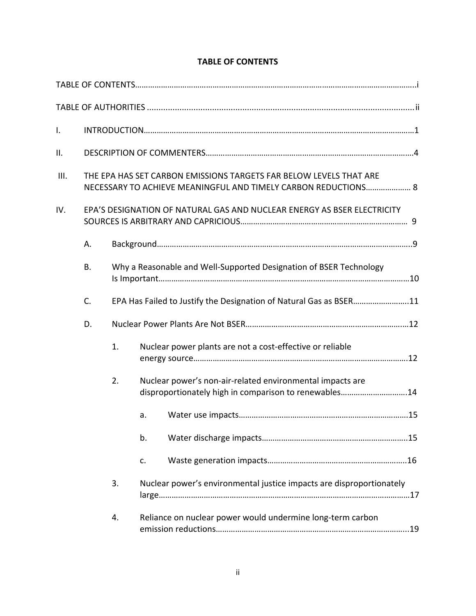| $\mathsf{L}$ |                                                                                                                                      |    |                                                                                                                    |  |  |
|--------------|--------------------------------------------------------------------------------------------------------------------------------------|----|--------------------------------------------------------------------------------------------------------------------|--|--|
| ΙΙ.          |                                                                                                                                      |    |                                                                                                                    |  |  |
| III.         | THE EPA HAS SET CARBON EMISSIONS TARGETS FAR BELOW LEVELS THAT ARE<br>NECESSARY TO ACHIEVE MEANINGFUL AND TIMELY CARBON REDUCTIONS 8 |    |                                                                                                                    |  |  |
| IV.          | EPA'S DESIGNATION OF NATURAL GAS AND NUCLEAR ENERGY AS BSER ELECTRICITY                                                              |    |                                                                                                                    |  |  |
|              | А.                                                                                                                                   |    |                                                                                                                    |  |  |
|              | <b>B.</b>                                                                                                                            |    | Why a Reasonable and Well-Supported Designation of BSER Technology                                                 |  |  |
|              | C.                                                                                                                                   |    | EPA Has Failed to Justify the Designation of Natural Gas as BSER11                                                 |  |  |
|              | D.                                                                                                                                   |    |                                                                                                                    |  |  |
|              |                                                                                                                                      | 1. | Nuclear power plants are not a cost-effective or reliable                                                          |  |  |
|              |                                                                                                                                      | 2. | Nuclear power's non-air-related environmental impacts are<br>disproportionately high in comparison to renewables14 |  |  |
|              |                                                                                                                                      |    | a.                                                                                                                 |  |  |
|              |                                                                                                                                      |    | b.                                                                                                                 |  |  |
|              |                                                                                                                                      |    | c.                                                                                                                 |  |  |
|              |                                                                                                                                      | 3. | Nuclear power's environmental justice impacts are disproportionately                                               |  |  |
|              |                                                                                                                                      | 4. | Reliance on nuclear power would undermine long-term carbon                                                         |  |  |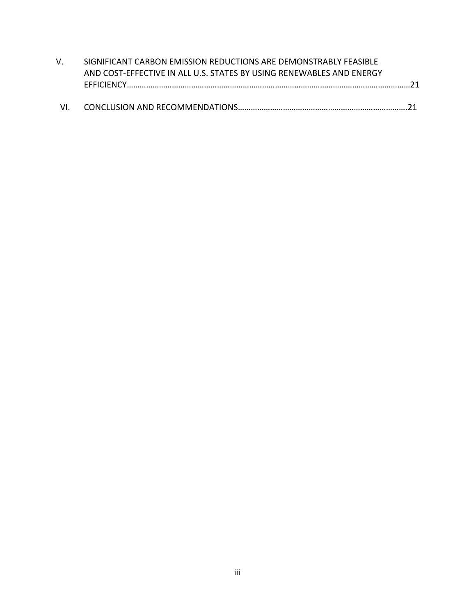| V.  | SIGNIFICANT CARBON EMISSION REDUCTIONS ARE DEMONSTRABLY FEASIBLE     |  |
|-----|----------------------------------------------------------------------|--|
|     | AND COST-EFFECTIVE IN ALL U.S. STATES BY USING RENEWABLES AND ENERGY |  |
|     |                                                                      |  |
|     |                                                                      |  |
| VI. |                                                                      |  |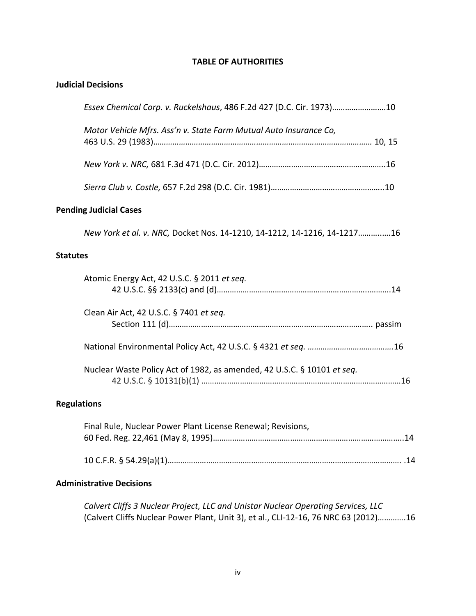#### **TABLE OF AUTHORITIES**

| <b>Judicial Decisions</b>                                                |
|--------------------------------------------------------------------------|
| Essex Chemical Corp. v. Ruckelshaus, 486 F.2d 427 (D.C. Cir. 1973)10     |
| Motor Vehicle Mfrs. Ass'n v. State Farm Mutual Auto Insurance Co,        |
|                                                                          |
|                                                                          |
| <b>Pending Judicial Cases</b>                                            |
| New York et al. v. NRC, Docket Nos. 14-1210, 14-1212, 14-1216, 14-121716 |
| <b>Statutes</b>                                                          |
| Atomic Energy Act, 42 U.S.C. § 2011 et seq.                              |
| Clean Air Act, 42 U.S.C. § 7401 et seq.                                  |
|                                                                          |
| Nuclear Waste Policy Act of 1982, as amended, 42 U.S.C. § 10101 et seq.  |
| <b>Regulations</b>                                                       |
| Final Rule, Nuclear Power Plant License Renewal; Revisions,              |

# 10 C.F.R. § 54.29(a)(1)………………………………………………………………………………………………. .14

#### **Administrative Decisions**

*Calvert Cliffs 3 Nuclear Project, LLC and Unistar Nuclear Operating Services, LLC*  (Calvert Cliffs Nuclear Power Plant, Unit 3), et al., CLI‐12‐16, 76 NRC 63 (2012)………….16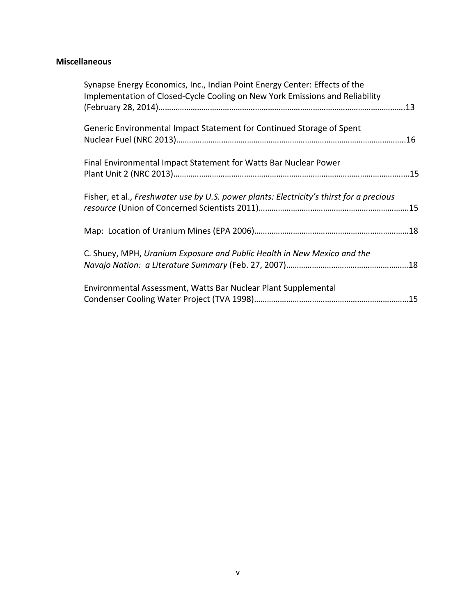## **Miscellaneous**

| Synapse Energy Economics, Inc., Indian Point Energy Center: Effects of the<br>Implementation of Closed-Cycle Cooling on New York Emissions and Reliability |  |
|------------------------------------------------------------------------------------------------------------------------------------------------------------|--|
| Generic Environmental Impact Statement for Continued Storage of Spent                                                                                      |  |
| Final Environmental Impact Statement for Watts Bar Nuclear Power                                                                                           |  |
| Fisher, et al., Freshwater use by U.S. power plants: Electricity's thirst for a precious                                                                   |  |
|                                                                                                                                                            |  |
| C. Shuey, MPH, Uranium Exposure and Public Health in New Mexico and the                                                                                    |  |
| Environmental Assessment, Watts Bar Nuclear Plant Supplemental                                                                                             |  |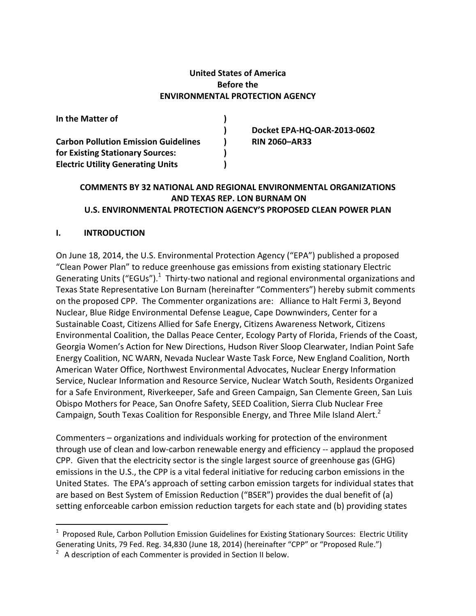#### **United States of America Before the ENVIRONMENTAL PROTECTION AGENCY**

| In the Matter of                            |                             |
|---------------------------------------------|-----------------------------|
|                                             | Docket EPA-HQ-OAR-2013-0602 |
| <b>Carbon Pollution Emission Guidelines</b> | <b>RIN 2060-AR33</b>        |
| for Existing Stationary Sources:            |                             |
| <b>Electric Utility Generating Units</b>    |                             |

#### **COMMENTS BY 32 NATIONAL AND REGIONAL ENVIRONMENTAL ORGANIZATIONS AND TEXAS REP. LON BURNAM ON U.S. ENVIRONMENTAL PROTECTION AGENCY'S PROPOSED CLEAN POWER PLAN**

#### **I. INTRODUCTION**

On June 18, 2014, the U.S. Environmental Protection Agency ("EPA") published a proposed "Clean Power Plan" to reduce greenhouse gas emissions from existing stationary Electric Generating Units ("EGUs"). $^{1}$  Thirty-two national and regional environmental organizations and Texas State Representative Lon Burnam (hereinafter "Commenters") hereby submit comments on the proposed CPP. The Commenter organizations are: Alliance to Halt Fermi 3, Beyond Nuclear, Blue Ridge Environmental Defense League, Cape Downwinders, Center for a Sustainable Coast, Citizens Allied for Safe Energy, Citizens Awareness Network, Citizens Environmental Coalition, the Dallas Peace Center, Ecology Party of Florida, Friends of the Coast, Georgia Women's Action for New Directions, Hudson River Sloop Clearwater, Indian Point Safe Energy Coalition, NC WARN, Nevada Nuclear Waste Task Force, New England Coalition, North American Water Office, Northwest Environmental Advocates, Nuclear Energy Information Service, Nuclear Information and Resource Service, Nuclear Watch South, Residents Organized for a Safe Environment, Riverkeeper, Safe and Green Campaign, San Clemente Green, San Luis Obispo Mothers for Peace, San Onofre Safety, SEED Coalition, Sierra Club Nuclear Free Campaign, South Texas Coalition for Responsible Energy, and Three Mile Island Alert.<sup>2</sup>

Commenters – organizations and individuals working for protection of the environment through use of clean and low‐carbon renewable energy and efficiency ‐‐ applaud the proposed CPP. Given that the electricity sector is the single largest source of greenhouse gas (GHG) emissions in the U.S., the CPP is a vital federal initiative for reducing carbon emissions in the United States. The EPA's approach of setting carbon emission targets for individual states that are based on Best System of Emission Reduction ("BSER") provides the dual benefit of (a) setting enforceable carbon emission reduction targets for each state and (b) providing states

<sup>&</sup>lt;sup>1</sup> Proposed Rule, Carbon Pollution Emission Guidelines for Existing Stationary Sources: Electric Utility Generating Units, 79 Fed. Reg. 34,830 (June 18, 2014) (hereinafter "CPP" or "Proposed Rule.")

 $2$  A description of each Commenter is provided in Section II below.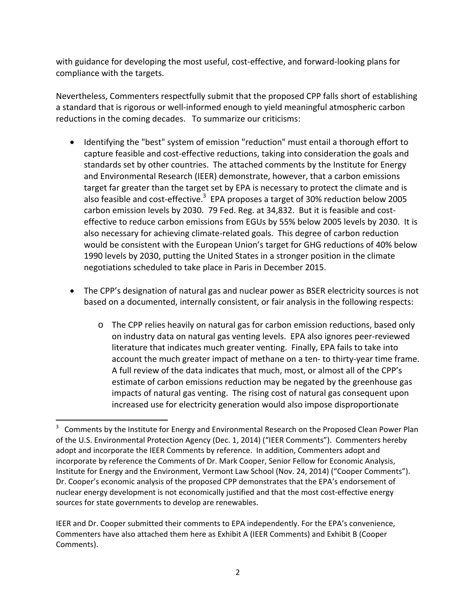with guidance for developing the most useful, cost-effective, and forward-looking plans for compliance with the targets.

Nevertheless, Commenters respectfully submit that the proposed CPP falls short of establishing a standard that is rigorous or well‐informed enough to yield meaningful atmospheric carbon reductions in the coming decades. To summarize our criticisms:

- Identifying the "best" system of emission "reduction" must entail a thorough effort to capture feasible and cost-effective reductions, taking into consideration the goals and standards set by other countries. The attached comments by the Institute for Energy and Environmental Research (IEER) demonstrate, however, that a carbon emissions target far greater than the target set by EPA is necessary to protect the climate and is also feasible and cost-effective.<sup>3</sup> EPA proposes a target of 30% reduction below 2005 carbon emission levels by 2030. 79 Fed. Reg. at 34,832. But it is feasible and cost‐ effective to reduce carbon emissions from EGUs by 55% below 2005 levels by 2030. It is also necessary for achieving climate‐related goals. This degree of carbon reduction would be consistent with the European Union's target for GHG reductions of 40% below 1990 levels by 2030, putting the United States in a stronger position in the climate negotiations scheduled to take place in Paris in December 2015.
- The CPP's designation of natural gas and nuclear power as BSER electricity sources is not based on a documented, internally consistent, or fair analysis in the following respects:
	- o The CPP relies heavily on natural gas for carbon emission reductions, based only on industry data on natural gas venting levels. EPA also ignores peer‐reviewed literature that indicates much greater venting. Finally, EPA fails to take into account the much greater impact of methane on a ten‐ to thirty‐year time frame. A full review of the data indicates that much, most, or almost all of the CPP's estimate of carbon emissions reduction may be negated by the greenhouse gas impacts of natural gas venting. The rising cost of natural gas consequent upon increased use for electricity generation would also impose disproportionate

 $3$  Comments by the Institute for Energy and Environmental Research on the Proposed Clean Power Plan of the U.S. Environmental Protection Agency (Dec. 1, 2014) ("IEER Comments"). Commenters hereby adopt and incorporate the IEER Comments by reference. In addition, Commenters adopt and incorporate by reference the Comments of Dr. Mark Cooper, Senior Fellow for Economic Analysis, Institute for Energy and the Environment, Vermont Law School (Nov. 24, 2014) ("Cooper Comments"). Dr. Cooper's economic analysis of the proposed CPP demonstrates that the EPA's endorsement of nuclear energy development is not economically justified and that the most cost-effective energy sources for state governments to develop are renewables.

IEER and Dr. Cooper submitted their comments to EPA independently. For the EPA's convenience, Commenters have also attached them here as Exhibit A (IEER Comments) and Exhibit B (Cooper Comments).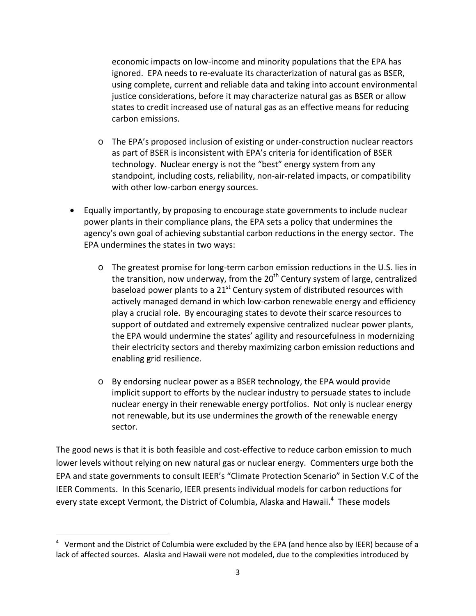economic impacts on low‐income and minority populations that the EPA has ignored. EPA needs to re‐evaluate its characterization of natural gas as BSER, using complete, current and reliable data and taking into account environmental justice considerations, before it may characterize natural gas as BSER or allow states to credit increased use of natural gas as an effective means for reducing carbon emissions.

- o The EPA's proposed inclusion of existing or under‐construction nuclear reactors as part of BSER is inconsistent with EPA's criteria for identification of BSER technology. Nuclear energy is not the "best" energy system from any standpoint, including costs, reliability, non‐air‐related impacts, or compatibility with other low-carbon energy sources.
- Equally importantly, by proposing to encourage state governments to include nuclear power plants in their compliance plans, the EPA sets a policy that undermines the agency's own goal of achieving substantial carbon reductions in the energy sector. The EPA undermines the states in two ways:
	- o The greatest promise for long‐term carbon emission reductions in the U.S. lies in the transition, now underway, from the  $20<sup>th</sup>$  Century system of large, centralized baseload power plants to a  $21<sup>st</sup>$  Century system of distributed resources with actively managed demand in which low‐carbon renewable energy and efficiency play a crucial role. By encouraging states to devote their scarce resources to support of outdated and extremely expensive centralized nuclear power plants, the EPA would undermine the states' agility and resourcefulness in modernizing their electricity sectors and thereby maximizing carbon emission reductions and enabling grid resilience.
	- o By endorsing nuclear power as a BSER technology, the EPA would provide implicit support to efforts by the nuclear industry to persuade states to include nuclear energy in their renewable energy portfolios. Not only is nuclear energy not renewable, but its use undermines the growth of the renewable energy sector.

The good news is that it is both feasible and cost-effective to reduce carbon emission to much lower levels without relying on new natural gas or nuclear energy. Commenters urge both the EPA and state governments to consult IEER's "Climate Protection Scenario" in Section V.C of the IEER Comments. In this Scenario, IEER presents individual models for carbon reductions for every state except Vermont, the District of Columbia, Alaska and Hawaii.<sup>4</sup> These models

<sup>&</sup>lt;sup>4</sup> Vermont and the District of Columbia were excluded by the EPA (and hence also by IEER) because of a lack of affected sources. Alaska and Hawaii were not modeled, due to the complexities introduced by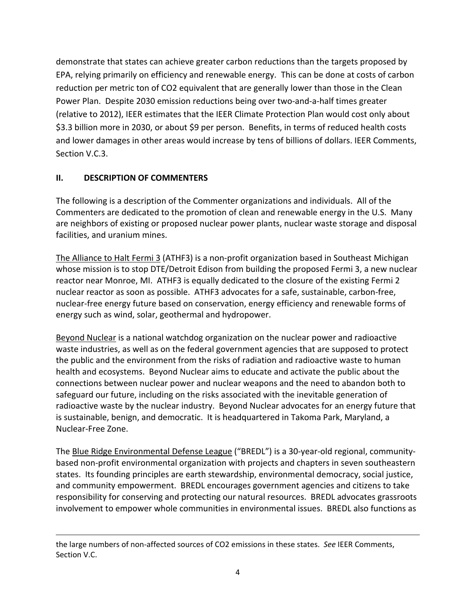demonstrate that states can achieve greater carbon reductions than the targets proposed by EPA, relying primarily on efficiency and renewable energy. This can be done at costs of carbon reduction per metric ton of CO2 equivalent that are generally lower than those in the Clean Power Plan. Despite 2030 emission reductions being over two‐and‐a‐half times greater (relative to 2012), IEER estimates that the IEER Climate Protection Plan would cost only about \$3.3 billion more in 2030, or about \$9 per person. Benefits, in terms of reduced health costs and lower damages in other areas would increase by tens of billions of dollars. IEER Comments, Section V.C.3.

### **II. DESCRIPTION OF COMMENTERS**

The following is a description of the Commenter organizations and individuals. All of the Commenters are dedicated to the promotion of clean and renewable energy in the U.S. Many are neighbors of existing or proposed nuclear power plants, nuclear waste storage and disposal facilities, and uranium mines.

The Alliance to Halt Fermi 3 (ATHF3) is a non-profit organization based in Southeast Michigan whose mission is to stop DTE/Detroit Edison from building the proposed Fermi 3, a new nuclear reactor near Monroe, MI. ATHF3 is equally dedicated to the closure of the existing Fermi 2 nuclear reactor as soon as possible. ATHF3 advocates for a safe, sustainable, carbon‐free, nuclear‐free energy future based on conservation, energy efficiency and renewable forms of energy such as wind, solar, geothermal and hydropower.

Beyond Nuclear is a national watchdog organization on the nuclear power and radioactive waste industries, as well as on the federal government agencies that are supposed to protect the public and the environment from the risks of radiation and radioactive waste to human health and ecosystems. Beyond Nuclear aims to educate and activate the public about the connections between nuclear power and nuclear weapons and the need to abandon both to safeguard our future, including on the risks associated with the inevitable generation of radioactive waste by the nuclear industry. Beyond Nuclear advocates for an energy future that is sustainable, benign, and democratic. It is headquartered in Takoma Park, Maryland, a Nuclear‐Free Zone.

The Blue Ridge Environmental Defense League ("BREDL") is a 30‐year‐old regional, community‐ based non-profit environmental organization with projects and chapters in seven southeastern states. Its founding principles are earth stewardship, environmental democracy, social justice, and community empowerment. BREDL encourages government agencies and citizens to take responsibility for conserving and protecting our natural resources. BREDL advocates grassroots involvement to empower whole communities in environmental issues. BREDL also functions as

<u> 1989 - Johann Stein, marwolaethau a gweledydd a ganlad y ganlad y ganlad y ganlad y ganlad y ganlad y ganlad</u>

the large numbers of non‐affected sources of CO2 emissions in these states. *See* IEER Comments, Section V.C.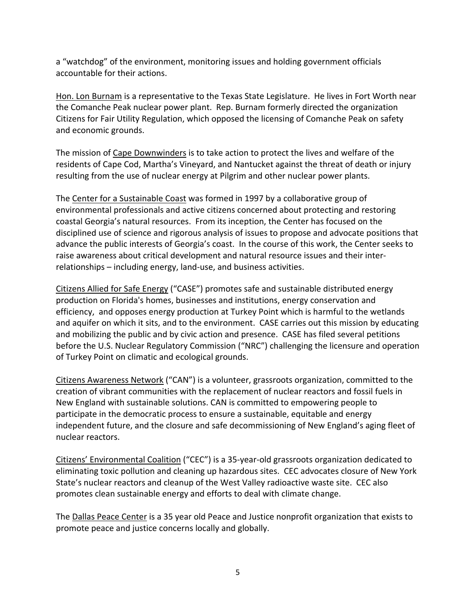a "watchdog" of the environment, monitoring issues and holding government officials accountable for their actions.

Hon. Lon Burnam is a representative to the Texas State Legislature. He lives in Fort Worth near the Comanche Peak nuclear power plant. Rep. Burnam formerly directed the organization Citizens for Fair Utility Regulation, which opposed the licensing of Comanche Peak on safety and economic grounds.

The mission of Cape Downwinders is to take action to protect the lives and welfare of the residents of Cape Cod, Martha's Vineyard, and Nantucket against the threat of death or injury resulting from the use of nuclear energy at Pilgrim and other nuclear power plants.

The Center for a Sustainable Coast was formed in 1997 by a collaborative group of environmental professionals and active citizens concerned about protecting and restoring coastal Georgia's natural resources. From its inception, the Center has focused on the disciplined use of science and rigorous analysis of issues to propose and advocate positions that advance the public interests of Georgia's coast. In the course of this work, the Center seeks to raise awareness about critical development and natural resource issues and their inter‐ relationships – including energy, land‐use, and business activities.

Citizens Allied for Safe Energy ("CASE") promotes safe and sustainable distributed energy production on Florida's homes, businesses and institutions, energy conservation and efficiency, and opposes energy production at Turkey Point which is harmful to the wetlands and aquifer on which it sits, and to the environment. CASE carries out this mission by educating and mobilizing the public and by civic action and presence. CASE has filed several petitions before the U.S. Nuclear Regulatory Commission ("NRC") challenging the licensure and operation of Turkey Point on climatic and ecological grounds.

Citizens Awareness Network ("CAN") is a volunteer, grassroots organization, committed to the creation of vibrant communities with the replacement of nuclear reactors and fossil fuels in New England with sustainable solutions. CAN is committed to empowering people to participate in the democratic process to ensure a sustainable, equitable and energy independent future, and the closure and safe decommissioning of New England's aging fleet of nuclear reactors.

Citizens' Environmental Coalition ("CEC") is a 35‐year‐old grassroots organization dedicated to eliminating toxic pollution and cleaning up hazardous sites. CEC advocates closure of New York State's nuclear reactors and cleanup of the West Valley radioactive waste site. CEC also promotes clean sustainable energy and efforts to deal with climate change.

The Dallas Peace Center is a 35 year old Peace and Justice nonprofit organization that exists to promote peace and justice concerns locally and globally.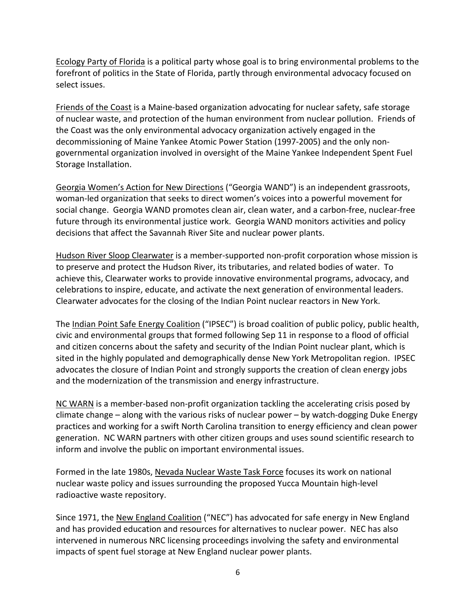Ecology Party of Florida is a political party whose goal is to bring environmental problems to the forefront of politics in the State of Florida, partly through environmental advocacy focused on select issues.

Friends of the Coast is a Maine‐based organization advocating for nuclear safety, safe storage of nuclear waste, and protection of the human environment from nuclear pollution. Friends of the Coast was the only environmental advocacy organization actively engaged in the decommissioning of Maine Yankee Atomic Power Station (1997‐2005) and the only non‐ governmental organization involved in oversight of the Maine Yankee Independent Spent Fuel Storage Installation.

Georgia Women's Action for New Directions ("Georgia WAND") is an independent grassroots, woman‐led organization that seeks to direct women's voices into a powerful movement for social change. Georgia WAND promotes clean air, clean water, and a carbon‐free, nuclear‐free future through its environmental justice work. Georgia WAND monitors activities and policy decisions that affect the Savannah River Site and nuclear power plants.

Hudson River Sloop Clearwater is a member‐supported non‐profit corporation whose mission is to preserve and protect the Hudson River, its tributaries, and related bodies of water. To achieve this, Clearwater works to provide innovative environmental programs, advocacy, and celebrations to inspire, educate, and activate the next generation of environmental leaders. Clearwater advocates for the closing of the Indian Point nuclear reactors in New York.

The Indian Point Safe Energy Coalition ("IPSEC") is broad coalition of public policy, public health, civic and environmental groups that formed following Sep 11 in response to a flood of official and citizen concerns about the safety and security of the Indian Point nuclear plant, which is sited in the highly populated and demographically dense New York Metropolitan region. IPSEC advocates the closure of Indian Point and strongly supports the creation of clean energy jobs and the modernization of the transmission and energy infrastructure.

NC WARN is a member-based non-profit organization tackling the accelerating crisis posed by climate change – along with the various risks of nuclear power – by watch‐dogging Duke Energy practices and working for a swift North Carolina transition to energy efficiency and clean power generation. NC WARN partners with other citizen groups and uses sound scientific research to inform and involve the public on important environmental issues.

Formed in the late 1980s, Nevada Nuclear Waste Task Force focuses its work on national nuclear waste policy and issues surrounding the proposed Yucca Mountain high‐level radioactive waste repository.

Since 1971, the New England Coalition ("NEC") has advocated for safe energy in New England and has provided education and resources for alternatives to nuclear power. NEC has also intervened in numerous NRC licensing proceedings involving the safety and environmental impacts of spent fuel storage at New England nuclear power plants.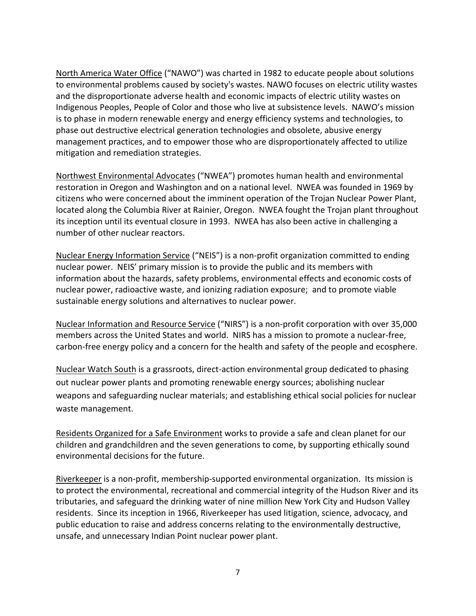North America Water Office ("NAWO") was charted in 1982 to educate people about solutions to environmental problems caused by society's wastes. NAWO focuses on electric utility wastes and the disproportionate adverse health and economic impacts of electric utility wastes on Indigenous Peoples, People of Color and those who live at subsistence levels. NAWO's mission is to phase in modern renewable energy and energy efficiency systems and technologies, to phase out destructive electrical generation technologies and obsolete, abusive energy management practices, and to empower those who are disproportionately affected to utilize mitigation and remediation strategies.

Northwest Environmental Advocates ("NWEA") promotes human health and environmental restoration in Oregon and Washington and on a national level. NWEA was founded in 1969 by citizens who were concerned about the imminent operation of the Trojan Nuclear Power Plant, located along the Columbia River at Rainier, Oregon. NWEA fought the Trojan plant throughout its inception until its eventual closure in 1993. NWEA has also been active in challenging a number of other nuclear reactors.

Nuclear Energy Information Service ("NEIS") is a non‐profit organization committed to ending nuclear power. NEIS' primary mission is to provide the public and its members with information about the hazards, safety problems, environmental effects and economic costs of nuclear power, radioactive waste, and ionizing radiation exposure; and to promote viable sustainable energy solutions and alternatives to nuclear power.

Nuclear Information and Resource Service ("NIRS") is a non‐profit corporation with over 35,000 members across the United States and world. NIRS has a mission to promote a nuclear‐free, carbon‐free energy policy and a concern for the health and safety of the people and ecosphere.

Nuclear Watch South is a grassroots, direct‐action environmental group dedicated to phasing out nuclear power plants and promoting renewable energy sources; abolishing nuclear weapons and safeguarding nuclear materials; and establishing ethical social policies for nuclear waste management.

Residents Organized for a Safe Environment works to provide a safe and clean planet for our children and grandchildren and the seven generations to come, by supporting ethically sound environmental decisions for the future.

Riverkeeper is a non-profit, membership-supported environmental organization. Its mission is to protect the environmental, recreational and commercial integrity of the Hudson River and its tributaries, and safeguard the drinking water of nine million New York City and Hudson Valley residents. Since its inception in 1966, Riverkeeper has used litigation, science, advocacy, and public education to raise and address concerns relating to the environmentally destructive, unsafe, and unnecessary Indian Point nuclear power plant.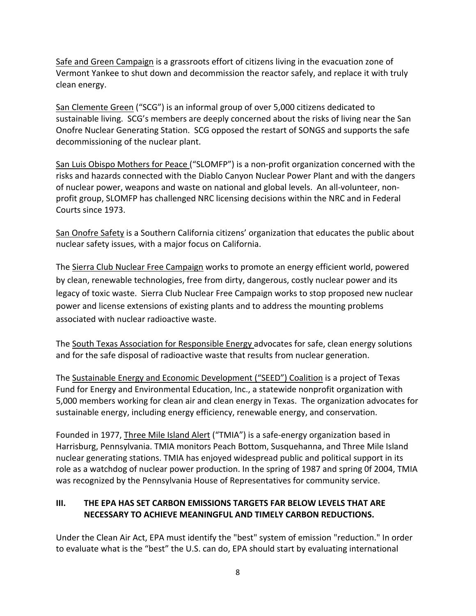Safe and Green Campaign is a grassroots effort of citizens living in the evacuation zone of Vermont Yankee to shut down and decommission the reactor safely, and replace it with truly clean energy.

San Clemente Green ("SCG") is an informal group of over 5,000 citizens dedicated to sustainable living. SCG's members are deeply concerned about the risks of living near the San Onofre Nuclear Generating Station. SCG opposed the restart of SONGS and supports the safe decommissioning of the nuclear plant.

San Luis Obispo Mothers for Peace ("SLOMFP") is a non-profit organization concerned with the risks and hazards connected with the Diablo Canyon Nuclear Power Plant and with the dangers of nuclear power, weapons and waste on national and global levels. An all‐volunteer, non‐ profit group, SLOMFP has challenged NRC licensing decisions within the NRC and in Federal Courts since 1973.

San Onofre Safety is a Southern California citizens' organization that educates the public about nuclear safety issues, with a major focus on California.

The Sierra Club Nuclear Free Campaign works to promote an energy efficient world, powered by clean, renewable technologies, free from dirty, dangerous, costly nuclear power and its legacy of toxic waste. Sierra Club Nuclear Free Campaign works to stop proposed new nuclear power and license extensions of existing plants and to address the mounting problems associated with nuclear radioactive waste.

The South Texas Association for Responsible Energy advocates for safe, clean energy solutions and for the safe disposal of radioactive waste that results from nuclear generation.

The Sustainable Energy and Economic Development ("SEED") Coalition is a project of Texas Fund for Energy and Environmental Education, Inc., a statewide nonprofit organization with 5,000 members working for clean air and clean energy in Texas. The organization advocates for sustainable energy, including energy efficiency, renewable energy, and conservation.

Founded in 1977, *Three Mile Island Alert* ("TMIA") is a safe-energy organization based in Harrisburg, Pennsylvania. TMIA monitors Peach Bottom, Susquehanna, and Three Mile Island nuclear generating stations. TMIA has enjoyed widespread public and political support in its role as a watchdog of nuclear power production. In the spring of 1987 and spring 0f 2004, TMIA was recognized by the Pennsylvania House of Representatives for community service.

### **III. THE EPA HAS SET CARBON EMISSIONS TARGETS FAR BELOW LEVELS THAT ARE NECESSARY TO ACHIEVE MEANINGFUL AND TIMELY CARBON REDUCTIONS.**

Under the Clean Air Act, EPA must identify the "best" system of emission "reduction." In order to evaluate what is the "best" the U.S. can do, EPA should start by evaluating international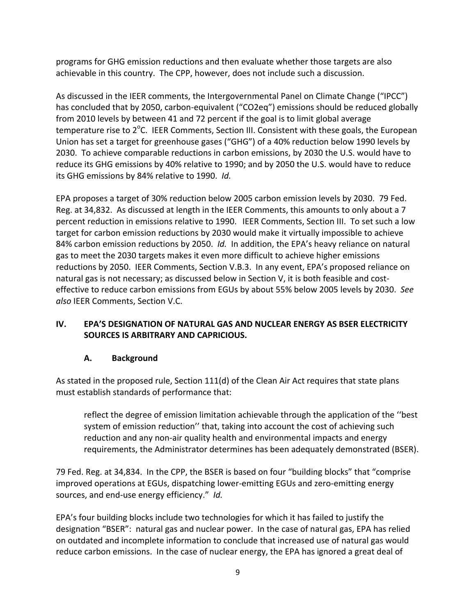programs for GHG emission reductions and then evaluate whether those targets are also achievable in this country. The CPP, however, does not include such a discussion.

As discussed in the IEER comments, the Intergovernmental Panel on Climate Change ("IPCC") has concluded that by 2050, carbon-equivalent ("CO2eq") emissions should be reduced globally from 2010 levels by between 41 and 72 percent if the goal is to limit global average temperature rise to 2<sup>o</sup>C. IEER Comments, Section III. Consistent with these goals, the European Union has set a target for greenhouse gases ("GHG") of a 40% reduction below 1990 levels by 2030. To achieve comparable reductions in carbon emissions, by 2030 the U.S. would have to reduce its GHG emissions by 40% relative to 1990; and by 2050 the U.S. would have to reduce its GHG emissions by 84% relative to 1990. *Id.* 

EPA proposes a target of 30% reduction below 2005 carbon emission levels by 2030. 79 Fed. Reg. at 34,832. As discussed at length in the IEER Comments, this amounts to only about a 7 percent reduction in emissions relative to 1990. IEER Comments, Section III. To set such a low target for carbon emission reductions by 2030 would make it virtually impossible to achieve 84% carbon emission reductions by 2050. *Id.* In addition, the EPA's heavy reliance on natural gas to meet the 2030 targets makes it even more difficult to achieve higher emissions reductions by 2050. IEER Comments, Section V.B.3. In any event, EPA's proposed reliance on natural gas is not necessary; as discussed below in Section V, it is both feasible and cost‐ effective to reduce carbon emissions from EGUs by about 55% below 2005 levels by 2030. *See also* IEER Comments, Section V.C.

### **IV. EPA'S DESIGNATION OF NATURAL GAS AND NUCLEAR ENERGY AS BSER ELECTRICITY SOURCES IS ARBITRARY AND CAPRICIOUS.**

### **A. Background**

As stated in the proposed rule, Section 111(d) of the Clean Air Act requires that state plans must establish standards of performance that:

reflect the degree of emission limitation achievable through the application of the ''best system of emission reduction'' that, taking into account the cost of achieving such reduction and any non‐air quality health and environmental impacts and energy requirements, the Administrator determines has been adequately demonstrated (BSER).

79 Fed. Reg. at 34,834. In the CPP, the BSER is based on four "building blocks" that "comprise improved operations at EGUs, dispatching lower-emitting EGUs and zero-emitting energy sources, and end-use energy efficiency." Id.

EPA's four building blocks include two technologies for which it has failed to justify the designation "BSER": natural gas and nuclear power. In the case of natural gas, EPA has relied on outdated and incomplete information to conclude that increased use of natural gas would reduce carbon emissions. In the case of nuclear energy, the EPA has ignored a great deal of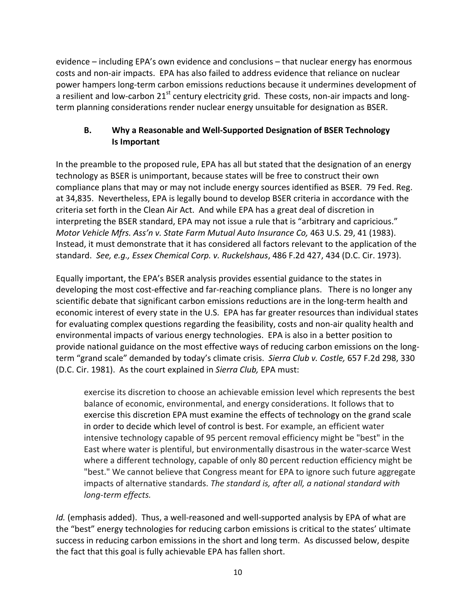evidence – including EPA's own evidence and conclusions – that nuclear energy has enormous costs and non‐air impacts. EPA has also failed to address evidence that reliance on nuclear power hampers long‐term carbon emissions reductions because it undermines development of a resilient and low-carbon 21<sup>st</sup> century electricity grid. These costs, non-air impacts and longterm planning considerations render nuclear energy unsuitable for designation as BSER.

### **B. Why a Reasonable and Well‐Supported Designation of BSER Technology Is Important**

In the preamble to the proposed rule, EPA has all but stated that the designation of an energy technology as BSER is unimportant, because states will be free to construct their own compliance plans that may or may not include energy sources identified as BSER. 79 Fed. Reg. at 34,835. Nevertheless, EPA is legally bound to develop BSER criteria in accordance with the criteria set forth in the Clean Air Act. And while EPA has a great deal of discretion in interpreting the BSER standard, EPA may not issue a rule that is "arbitrary and capricious." *Motor Vehicle Mfrs. Ass'n v. State Farm Mutual Auto Insurance Co,* 463 U.S. 29, 41 (1983). Instead, it must demonstrate that it has considered all factors relevant to the application of the standard. *See, e.g., Essex Chemical Corp. v. Ruckelshaus*, 486 F.2d 427, 434 (D.C. Cir. 1973).

Equally important, the EPA's BSER analysis provides essential guidance to the states in developing the most cost-effective and far-reaching compliance plans. There is no longer any scientific debate that significant carbon emissions reductions are in the long‐term health and economic interest of every state in the U.S. EPA has far greater resources than individual states for evaluating complex questions regarding the feasibility, costs and non-air quality health and environmental impacts of various energy technologies. EPA is also in a better position to provide national guidance on the most effective ways of reducing carbon emissions on the long‐ term "grand scale" demanded by today's climate crisis. *Sierra Club v. Costle,* 657 F.2d 298, 330 (D.C. Cir. 1981). As the court explained in *Sierra Club,* EPA must:

exercise its discretion to choose an achievable emission level which represents the best balance of economic, environmental, and energy considerations. It follows that to exercise this discretion EPA must examine the effects of technology on the grand scale in order to decide which level of control is best. For example, an efficient water intensive technology capable of 95 percent removal efficiency might be "best" in the East where water is plentiful, but environmentally disastrous in the water‐scarce West where a different technology, capable of only 80 percent reduction efficiency might be "best." We cannot believe that Congress meant for EPA to ignore such future aggregate impacts of alternative standards. *The standard is, after all, a national standard with long‐term effects.*

*Id.* (emphasis added). Thus, a well-reasoned and well-supported analysis by EPA of what are the "best" energy technologies for reducing carbon emissions is critical to the states' ultimate success in reducing carbon emissions in the short and long term. As discussed below, despite the fact that this goal is fully achievable EPA has fallen short.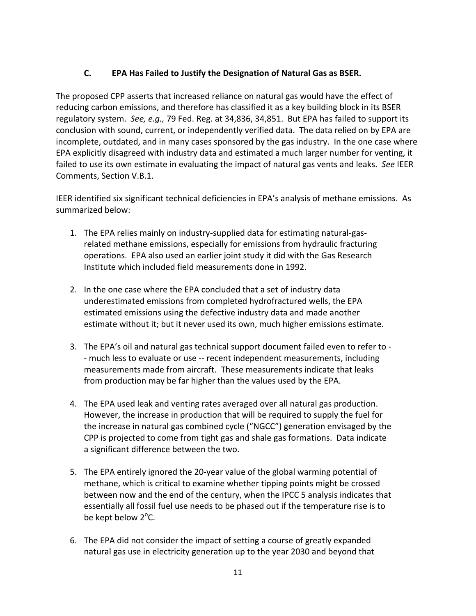### **C. EPA Has Failed to Justify the Designation of Natural Gas as BSER.**

The proposed CPP asserts that increased reliance on natural gas would have the effect of reducing carbon emissions, and therefore has classified it as a key building block in its BSER regulatory system. *See, e.g.,* 79 Fed. Reg. at 34,836, 34,851. But EPA has failed to support its conclusion with sound, current, or independently verified data. The data relied on by EPA are incomplete, outdated, and in many cases sponsored by the gas industry. In the one case where EPA explicitly disagreed with industry data and estimated a much larger number for venting, it failed to use its own estimate in evaluating the impact of natural gas vents and leaks. *See* IEER Comments, Section V.B.1.

IEER identified six significant technical deficiencies in EPA's analysis of methane emissions. As summarized below:

- 1. The EPA relies mainly on industry‐supplied data for estimating natural‐gas‐ related methane emissions, especially for emissions from hydraulic fracturing operations. EPA also used an earlier joint study it did with the Gas Research Institute which included field measurements done in 1992.
- 2. In the one case where the EPA concluded that a set of industry data underestimated emissions from completed hydrofractured wells, the EPA estimated emissions using the defective industry data and made another estimate without it; but it never used its own, much higher emissions estimate.
- 3. The EPA's oil and natural gas technical support document failed even to refer to ‐ ‐ much less to evaluate or use ‐‐ recent independent measurements, including measurements made from aircraft. These measurements indicate that leaks from production may be far higher than the values used by the EPA.
- 4. The EPA used leak and venting rates averaged over all natural gas production. However, the increase in production that will be required to supply the fuel for the increase in natural gas combined cycle ("NGCC") generation envisaged by the CPP is projected to come from tight gas and shale gas formations. Data indicate a significant difference between the two.
- 5. The EPA entirely ignored the 20-year value of the global warming potential of methane, which is critical to examine whether tipping points might be crossed between now and the end of the century, when the IPCC 5 analysis indicates that essentially all fossil fuel use needs to be phased out if the temperature rise is to be kept below 2<sup>o</sup>C.
- 6. The EPA did not consider the impact of setting a course of greatly expanded natural gas use in electricity generation up to the year 2030 and beyond that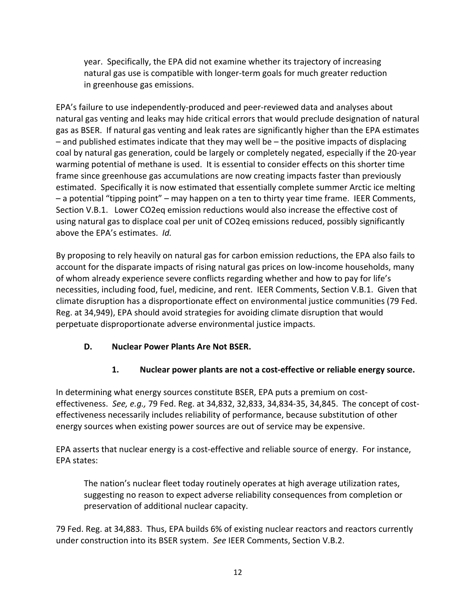year. Specifically, the EPA did not examine whether its trajectory of increasing natural gas use is compatible with longer‐term goals for much greater reduction in greenhouse gas emissions.

EPA's failure to use independently‐produced and peer‐reviewed data and analyses about natural gas venting and leaks may hide critical errors that would preclude designation of natural gas as BSER. If natural gas venting and leak rates are significantly higher than the EPA estimates – and published estimates indicate that they may well be – the positive impacts of displacing coal by natural gas generation, could be largely or completely negated, especially if the 20‐year warming potential of methane is used. It is essential to consider effects on this shorter time frame since greenhouse gas accumulations are now creating impacts faster than previously estimated. Specifically it is now estimated that essentially complete summer Arctic ice melting – a potential "tipping point" – may happen on a ten to thirty year time frame. IEER Comments, Section V.B.1. Lower CO2eq emission reductions would also increase the effective cost of using natural gas to displace coal per unit of CO2eq emissions reduced, possibly significantly above the EPA's estimates. *Id.* 

By proposing to rely heavily on natural gas for carbon emission reductions, the EPA also fails to account for the disparate impacts of rising natural gas prices on low-income households, many of whom already experience severe conflicts regarding whether and how to pay for life's necessities, including food, fuel, medicine, and rent. IEER Comments, Section V.B.1. Given that climate disruption has a disproportionate effect on environmental justice communities (79 Fed. Reg. at 34,949), EPA should avoid strategies for avoiding climate disruption that would perpetuate disproportionate adverse environmental justice impacts.

### **D. Nuclear Power Plants Are Not BSER.**

### **1. Nuclear power plants are not a cost‐effective or reliable energy source.**

In determining what energy sources constitute BSER, EPA puts a premium on cost‐ effectiveness. *See, e.g.,* 79 Fed. Reg. at 34,832, 32,833, 34,834‐35, 34,845. The concept of cost‐ effectiveness necessarily includes reliability of performance, because substitution of other energy sources when existing power sources are out of service may be expensive.

EPA asserts that nuclear energy is a cost‐effective and reliable source of energy. For instance, EPA states:

The nation's nuclear fleet today routinely operates at high average utilization rates, suggesting no reason to expect adverse reliability consequences from completion or preservation of additional nuclear capacity.

79 Fed. Reg. at 34,883. Thus, EPA builds 6% of existing nuclear reactors and reactors currently under construction into its BSER system. *See* IEER Comments, Section V.B.2.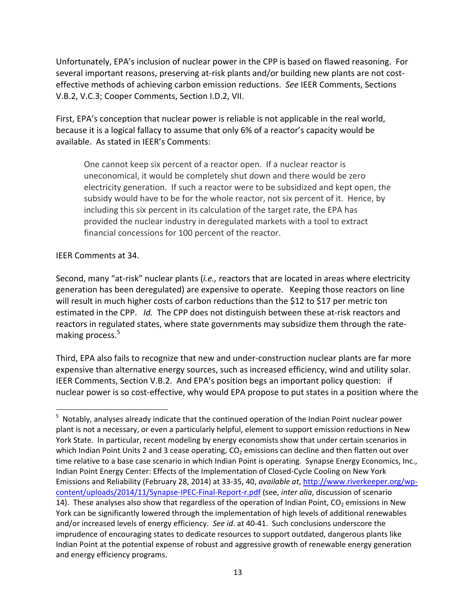Unfortunately, EPA's inclusion of nuclear power in the CPP is based on flawed reasoning. For several important reasons, preserving at-risk plants and/or building new plants are not costeffective methods of achieving carbon emission reductions. *See* IEER Comments, Sections V.B.2, V.C.3; Cooper Comments, Section I.D.2, VII.

First, EPA's conception that nuclear power is reliable is not applicable in the real world, because it is a logical fallacy to assume that only 6% of a reactor's capacity would be available. As stated in IEER's Comments:

One cannot keep six percent of a reactor open. If a nuclear reactor is uneconomical, it would be completely shut down and there would be zero electricity generation. If such a reactor were to be subsidized and kept open, the subsidy would have to be for the whole reactor, not six percent of it. Hence, by including this six percent in its calculation of the target rate, the EPA has provided the nuclear industry in deregulated markets with a tool to extract financial concessions for 100 percent of the reactor.

#### IEER Comments at 34.

Second, many "at‐risk" nuclear plants (*i.e.,* reactors that are located in areas where electricity generation has been deregulated) are expensive to operate. Keeping those reactors on line will result in much higher costs of carbon reductions than the \$12 to \$17 per metric ton estimated in the CPP. *Id.* The CPP does not distinguish between these at-risk reactors and reactors in regulated states, where state governments may subsidize them through the rate‐ making process.<sup>5</sup>

Third, EPA also fails to recognize that new and under‐construction nuclear plants are far more expensive than alternative energy sources, such as increased efficiency, wind and utility solar. IEER Comments, Section V.B.2. And EPA's position begs an important policy question: if nuclear power is so cost‐effective, why would EPA propose to put states in a position where the

<sup>&</sup>lt;sup>5</sup> Notably, analyses already indicate that the continued operation of the Indian Point nuclear power plant is not a necessary, or even a particularly helpful, element to support emission reductions in New York State. In particular, recent modeling by energy economists show that under certain scenarios in which Indian Point Units 2 and 3 cease operating,  $CO<sub>2</sub>$  emissions can decline and then flatten out over time relative to a base case scenario in which Indian Point is operating. Synapse Energy Economics, Inc., Indian Point Energy Center: Effects of the Implementation of Closed‐Cycle Cooling on New York Emissions and Reliability (February 28, 2014) at 33‐35, 40, *available at*, http://www.riverkeeper.org/wp‐ content/uploads/2014/11/Synapse‐IPEC‐Final‐Report‐r.pdf (see, *inter alia*, discussion of scenario 14). These analyses also show that regardless of the operation of Indian Point,  $CO<sub>2</sub>$  emissions in New York can be significantly lowered through the implementation of high levels of additional renewables and/or increased levels of energy efficiency. *See id*. at 40‐41. Such conclusions underscore the imprudence of encouraging states to dedicate resources to support outdated, dangerous plants like Indian Point at the potential expense of robust and aggressive growth of renewable energy generation and energy efficiency programs.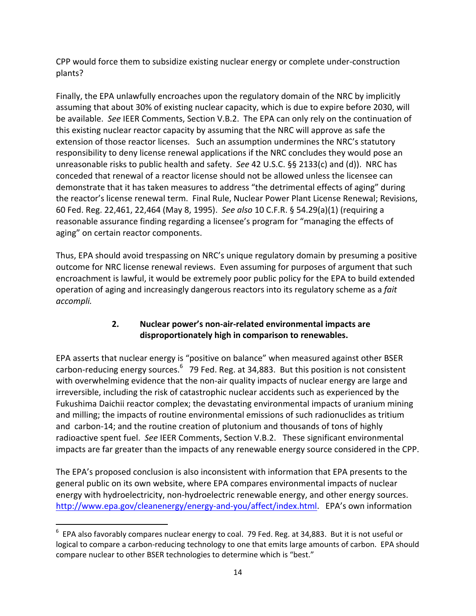CPP would force them to subsidize existing nuclear energy or complete under‐construction plants?

Finally, the EPA unlawfully encroaches upon the regulatory domain of the NRC by implicitly assuming that about 30% of existing nuclear capacity, which is due to expire before 2030, will be available. *See* IEER Comments, Section V.B.2. The EPA can only rely on the continuation of this existing nuclear reactor capacity by assuming that the NRC will approve as safe the extension of those reactor licenses. Such an assumption undermines the NRC's statutory responsibility to deny license renewal applications if the NRC concludes they would pose an unreasonable risks to public health and safety. *See* 42 U.S.C. §§ 2133(c) and (d)). NRC has conceded that renewal of a reactor license should not be allowed unless the licensee can demonstrate that it has taken measures to address "the detrimental effects of aging" during the reactor's license renewal term. Final Rule, Nuclear Power Plant License Renewal; Revisions, 60 Fed. Reg. 22,461, 22,464 (May 8, 1995). *See also* 10 C.F.R. § 54.29(a)(1) (requiring a reasonable assurance finding regarding a licensee's program for "managing the effects of aging" on certain reactor components.

Thus, EPA should avoid trespassing on NRC's unique regulatory domain by presuming a positive outcome for NRC license renewal reviews. Even assuming for purposes of argument that such encroachment is lawful, it would be extremely poor public policy for the EPA to build extended operation of aging and increasingly dangerous reactors into its regulatory scheme as a *fait accompli.* 

#### **2. Nuclear power's non‐air‐related environmental impacts are disproportionately high in comparison to renewables.**

EPA asserts that nuclear energy is "positive on balance" when measured against other BSER carbon-reducing energy sources.<sup>6</sup> 79 Fed. Reg. at 34,883. But this position is not consistent with overwhelming evidence that the non-air quality impacts of nuclear energy are large and irreversible, including the risk of catastrophic nuclear accidents such as experienced by the Fukushima Daichii reactor complex; the devastating environmental impacts of uranium mining and milling; the impacts of routine environmental emissions of such radionuclides as tritium and carbon‐14; and the routine creation of plutonium and thousands of tons of highly radioactive spent fuel. *See* IEER Comments, Section V.B.2. These significant environmental impacts are far greater than the impacts of any renewable energy source considered in the CPP.

The EPA's proposed conclusion is also inconsistent with information that EPA presents to the general public on its own website, where EPA compares environmental impacts of nuclear energy with hydroelectricity, non‐hydroelectric renewable energy, and other energy sources. http://www.epa.gov/cleanenergy/energy‐and‐you/affect/index.html. EPA's own information

 $^6$  EPA also favorably compares nuclear energy to coal. 79 Fed. Reg. at 34,883. But it is not useful or logical to compare a carbon‐reducing technology to one that emits large amounts of carbon. EPA should compare nuclear to other BSER technologies to determine which is "best."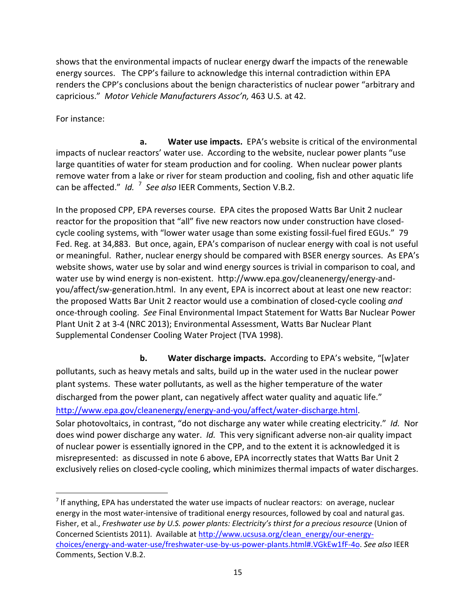shows that the environmental impacts of nuclear energy dwarf the impacts of the renewable energy sources. The CPP's failure to acknowledge this internal contradiction within EPA renders the CPP's conclusions about the benign characteristics of nuclear power "arbitrary and capricious." *Motor Vehicle Manufacturers Assoc'n,* 463 U.S. at 42.

For instance:

 **a. Water use impacts.** EPA's website is critical of the environmental impacts of nuclear reactors' water use. According to the website, nuclear power plants "use large quantities of water for steam production and for cooling. When nuclear power plants remove water from a lake or river for steam production and cooling, fish and other aquatic life can be affected." Id. <sup>7</sup> See also IEER Comments, Section V.B.2.

In the proposed CPP, EPA reverses course. EPA cites the proposed Watts Bar Unit 2 nuclear reactor for the proposition that "all" five new reactors now under construction have closed‐ cycle cooling systems, with "lower water usage than some existing fossil-fuel fired EGUs." 79 Fed. Reg. at 34,883. But once, again, EPA's comparison of nuclear energy with coal is not useful or meaningful. Rather, nuclear energy should be compared with BSER energy sources. As EPA's website shows, water use by solar and wind energy sources is trivial in comparison to coal, and water use by wind energy is non-existent. http://www.epa.gov/cleanenergy/energy-andyou/affect/sw‐generation.html. In any event, EPA is incorrect about at least one new reactor: the proposed Watts Bar Unit 2 reactor would use a combination of closed‐cycle cooling *and* once‐through cooling. *See* Final Environmental Impact Statement for Watts Bar Nuclear Power Plant Unit 2 at 3‐4 (NRC 2013); Environmental Assessment, Watts Bar Nuclear Plant Supplemental Condenser Cooling Water Project (TVA 1998).

 **b. Water discharge impacts.** According to EPA's website, "[w]ater pollutants, such as heavy metals and salts, build up in the water used in the nuclear power plant systems. These water pollutants, as well as the higher temperature of the water discharged from the power plant, can negatively affect water quality and aquatic life." http://www.epa.gov/cleanenergy/energy-and-you/affect/water-discharge.html. Solar photovoltaics, in contrast, "do not discharge any water while creating electricity." *Id.* Nor does wind power discharge any water. *Id.* This very significant adverse non-air quality impact of nuclear power is essentially ignored in the CPP, and to the extent it is acknowledged it is misrepresented: as discussed in note 6 above, EPA incorrectly states that Watts Bar Unit 2 exclusively relies on closed‐cycle cooling, which minimizes thermal impacts of water discharges.

 $<sup>7</sup>$  If anything, EPA has understated the water use impacts of nuclear reactors: on average, nuclear</sup> energy in the most water-intensive of traditional energy resources, followed by coal and natural gas. Fisher, et al., *Freshwater use by U.S. power plants: Electricity's thirst for a precious resource* (Union of Concerned Scientists 2011). Available at http://www.ucsusa.org/clean\_energy/our‐energy‐ choices/energy‐and‐water‐use/freshwater‐use‐by‐us‐power‐plants.html#.VGkEw1fF‐4o. *See also* IEER Comments, Section V.B.2.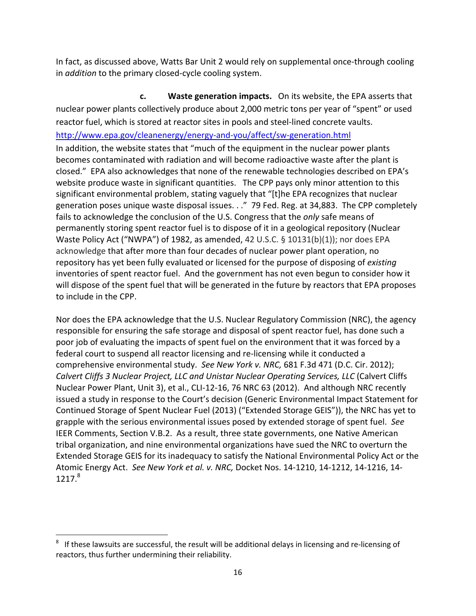In fact, as discussed above, Watts Bar Unit 2 would rely on supplemental once-through cooling in *addition* to the primary closed‐cycle cooling system.

 **c. Waste generation impacts.** On its website, the EPA asserts that nuclear power plants collectively produce about 2,000 metric tons per year of "spent" or used reactor fuel, which is stored at reactor sites in pools and steel‐lined concrete vaults. http://www.epa.gov/cleanenergy/energy‐and‐you/affect/sw‐generation.html In addition, the website states that "much of the equipment in the nuclear power plants becomes contaminated with radiation and will become radioactive waste after the plant is closed." EPA also acknowledges that none of the renewable technologies described on EPA's website produce waste in significant quantities. The CPP pays only minor attention to this significant environmental problem, stating vaguely that "[t]he EPA recognizes that nuclear generation poses unique waste disposal issues. . ." 79 Fed. Reg. at 34,883. The CPP completely fails to acknowledge the conclusion of the U.S. Congress that the *only* safe means of permanently storing spent reactor fuel is to dispose of it in a geological repository (Nuclear Waste Policy Act ("NWPA") of 1982, as amended, 42 U.S.C. § 10131(b)(1)); nor does EPA acknowledge that after more than four decades of nuclear power plant operation, no repository has yet been fully evaluated or licensed for the purpose of disposing of *existing* inventories of spent reactor fuel. And the government has not even begun to consider how it will dispose of the spent fuel that will be generated in the future by reactors that EPA proposes to include in the CPP.

Nor does the EPA acknowledge that the U.S. Nuclear Regulatory Commission (NRC), the agency responsible for ensuring the safe storage and disposal of spent reactor fuel, has done such a poor job of evaluating the impacts of spent fuel on the environment that it was forced by a federal court to suspend all reactor licensing and re‐licensing while it conducted a comprehensive environmental study. *See New York v. NRC,* 681 F.3d 471 (D.C. Cir. 2012); *Calvert Cliffs 3 Nuclear Project, LLC and Unistar Nuclear Operating Services, LLC* (Calvert Cliffs Nuclear Power Plant, Unit 3), et al., CLI‐12‐16, 76 NRC 63 (2012). And although NRC recently issued a study in response to the Court's decision (Generic Environmental Impact Statement for Continued Storage of Spent Nuclear Fuel (2013) ("Extended Storage GEIS")), the NRC has yet to grapple with the serious environmental issues posed by extended storage of spent fuel. *See* IEER Comments, Section V.B.2. As a result, three state governments, one Native American tribal organization, and nine environmental organizations have sued the NRC to overturn the Extended Storage GEIS for its inadequacy to satisfy the National Environmental Policy Act or the Atomic Energy Act. *See New York et al. v. NRC,* Docket Nos. 14‐1210, 14‐1212, 14‐1216, 14‐  $1217<sup>8</sup>$ 

<sup>8</sup> If these lawsuits are successful, the result will be additional delays in licensing and re‐licensing of reactors, thus further undermining their reliability.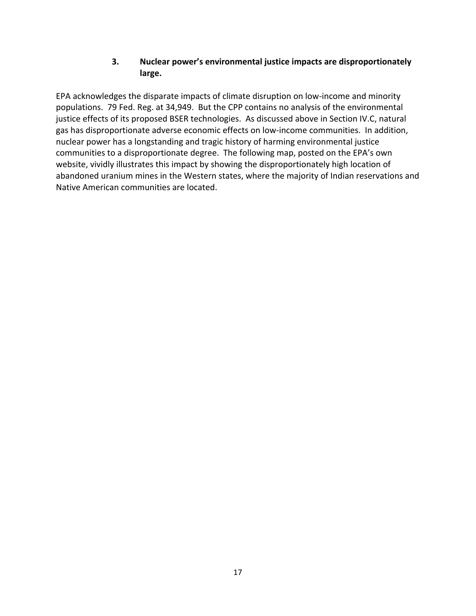#### **3. Nuclear power's environmental justice impacts are disproportionately large.**

EPA acknowledges the disparate impacts of climate disruption on low‐income and minority populations. 79 Fed. Reg. at 34,949. But the CPP contains no analysis of the environmental justice effects of its proposed BSER technologies. As discussed above in Section IV.C, natural gas has disproportionate adverse economic effects on low‐income communities. In addition, nuclear power has a longstanding and tragic history of harming environmental justice communities to a disproportionate degree. The following map, posted on the EPA's own website, vividly illustrates this impact by showing the disproportionately high location of abandoned uranium mines in the Western states, where the majority of Indian reservations and Native American communities are located.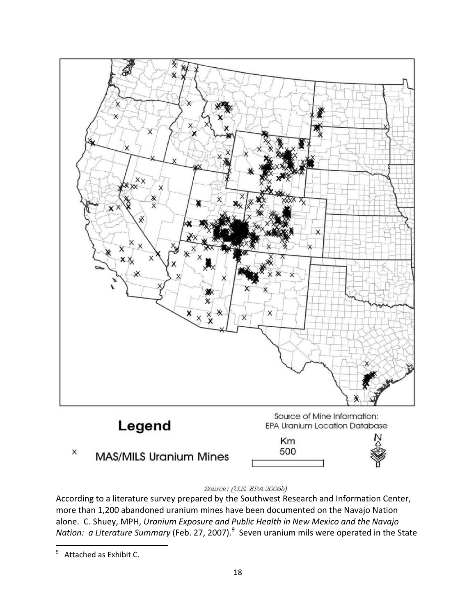

#### Source: (U.S. EPA 2006b)

According to a literature survey prepared by the Southwest Research and Information Center, more than 1,200 abandoned uranium mines have been documented on the Navajo Nation alone. C. Shuey, MPH, *Uranium Exposure and Public Health in New Mexico and the Navajo* Nation: a Literature Summary (Feb. 27, 2007).<sup>9</sup> Seven uranium mils were operated in the State

 9 Attached as Exhibit C.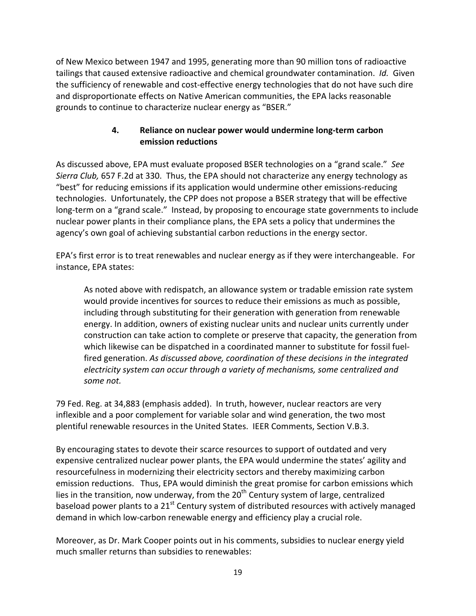of New Mexico between 1947 and 1995, generating more than 90 million tons of radioactive tailings that caused extensive radioactive and chemical groundwater contamination. *Id.* Given the sufficiency of renewable and cost‐effective energy technologies that do not have such dire and disproportionate effects on Native American communities, the EPA lacks reasonable grounds to continue to characterize nuclear energy as "BSER."

### **4. Reliance on nuclear power would undermine long‐term carbon emission reductions**

As discussed above, EPA must evaluate proposed BSER technologies on a "grand scale." *See Sierra Club,* 657 F.2d at 330. Thus, the EPA should not characterize any energy technology as "best" for reducing emissions if its application would undermine other emissions‐reducing technologies. Unfortunately, the CPP does not propose a BSER strategy that will be effective long-term on a "grand scale." Instead, by proposing to encourage state governments to include nuclear power plants in their compliance plans, the EPA sets a policy that undermines the agency's own goal of achieving substantial carbon reductions in the energy sector.

EPA's first error is to treat renewables and nuclear energy as if they were interchangeable. For instance, EPA states:

As noted above with redispatch, an allowance system or tradable emission rate system would provide incentives for sources to reduce their emissions as much as possible, including through substituting for their generation with generation from renewable energy. In addition, owners of existing nuclear units and nuclear units currently under construction can take action to complete or preserve that capacity, the generation from which likewise can be dispatched in a coordinated manner to substitute for fossil fuel‐ fired generation. *As discussed above, coordination of these decisions in the integrated electricity system can occur through a variety of mechanisms, some centralized and some not.*

79 Fed. Reg. at 34,883 (emphasis added). In truth, however, nuclear reactors are very inflexible and a poor complement for variable solar and wind generation, the two most plentiful renewable resources in the United States. IEER Comments, Section V.B.3.

By encouraging states to devote their scarce resources to support of outdated and very expensive centralized nuclear power plants, the EPA would undermine the states' agility and resourcefulness in modernizing their electricity sectors and thereby maximizing carbon emission reductions. Thus, EPA would diminish the great promise for carbon emissions which lies in the transition, now underway, from the  $20<sup>th</sup>$  Century system of large, centralized baseload power plants to a 21<sup>st</sup> Century system of distributed resources with actively managed demand in which low-carbon renewable energy and efficiency play a crucial role.

Moreover, as Dr. Mark Cooper points out in his comments, subsidies to nuclear energy yield much smaller returns than subsidies to renewables: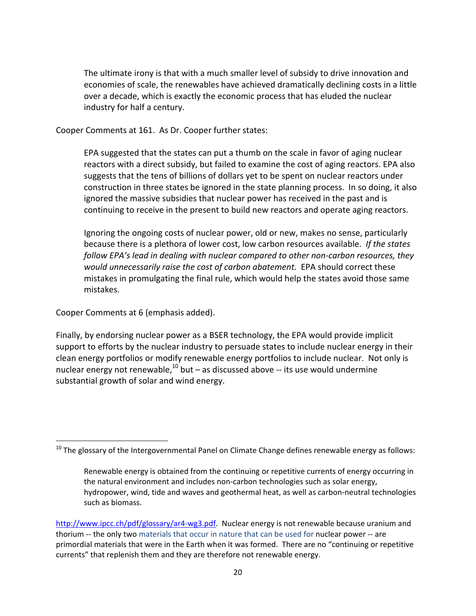The ultimate irony is that with a much smaller level of subsidy to drive innovation and economies of scale, the renewables have achieved dramatically declining costs in a little over a decade, which is exactly the economic process that has eluded the nuclear industry for half a century.

Cooper Comments at 161. As Dr. Cooper further states:

EPA suggested that the states can put a thumb on the scale in favor of aging nuclear reactors with a direct subsidy, but failed to examine the cost of aging reactors. EPA also suggests that the tens of billions of dollars yet to be spent on nuclear reactors under construction in three states be ignored in the state planning process. In so doing, it also ignored the massive subsidies that nuclear power has received in the past and is continuing to receive in the present to build new reactors and operate aging reactors.

Ignoring the ongoing costs of nuclear power, old or new, makes no sense, particularly because there is a plethora of lower cost, low carbon resources available. *If the states follow EPA's lead in dealing with nuclear compared to other non‐carbon resources, they would unnecessarily raise the cost of carbon abatement.* EPA should correct these mistakes in promulgating the final rule, which would help the states avoid those same mistakes.

Cooper Comments at 6 (emphasis added).

Finally, by endorsing nuclear power as a BSER technology, the EPA would provide implicit support to efforts by the nuclear industry to persuade states to include nuclear energy in their clean energy portfolios or modify renewable energy portfolios to include nuclear. Not only is nuclear energy not renewable, $^{10}$  but – as discussed above -- its use would undermine substantial growth of solar and wind energy.

 $^{10}$  The glossary of the Intergovernmental Panel on Climate Change defines renewable energy as follows:

Renewable energy is obtained from the continuing or repetitive currents of energy occurring in the natural environment and includes non‐carbon technologies such as solar energy, hydropower, wind, tide and waves and geothermal heat, as well as carbon-neutral technologies such as biomass.

http://www.ipcc.ch/pdf/glossary/ar4-wg3.pdf. Nuclear energy is not renewable because uranium and thorium -- the only two materials that occur in nature that can be used for nuclear power -- are primordial materials that were in the Earth when it was formed. There are no "continuing or repetitive currents" that replenish them and they are therefore not renewable energy.